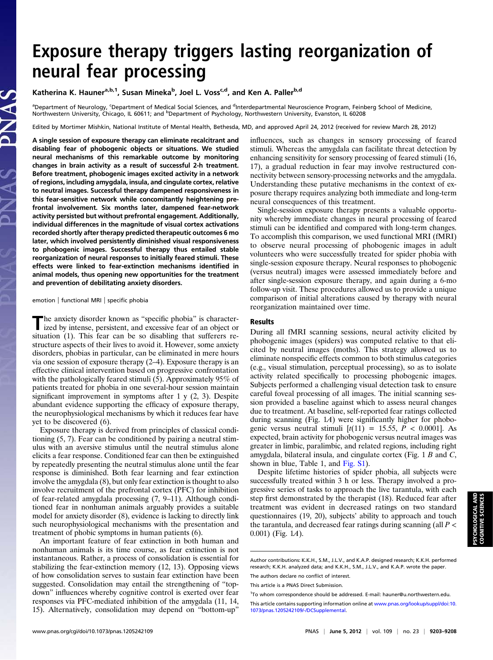# Exposure therapy triggers lasting reorganization of

x and the unity of the state of the state of the state of the state of the Katherina K. Hauner<sup>a,b,1</sup>, Susan Mineka<sup>b</sup>, Joel L. Voss<sup>c,d</sup>, and Ken A. Paller<sup>b,d</sup>

<sup>a</sup>Department of Neurology, <sup>c</sup>Department of Medical Social Sciences, and <sup>d</sup>Interdepartmental Neuroscience Program, Feinberg School of Medicine, Northwestern University, Chicago, IL 60611; and <sup>b</sup>Department of Psychology, Northwestern University, Evanston, IL 60208

Edited by Mortimer Mishkin, National Institute of Mental Health, Bethesda, MD, and approved April 24, 2012 (received for review March 28, 2012)

A single session of exposure therapy can eliminate recalcitrant and disabling fear of phobogenic objects or situations. We studied neural mechanisms of this remarkable outcome by monitoring changes in brain activity as a result of successful 2-h treatment. Before treatment, phobogenic images excited activity in a network of regions, including amygdala, insula, and cingulate cortex, relative to neutral images. Successful therapy dampened responsiveness in this fear-sensitive network while concomitantly heightening prefrontal involvement. Six months later, dampened fear-network activity persisted but without prefrontal engagement. Additionally, individual differences in the magnitude of visual cortex activations recorded shortly after therapy predicted therapeutic outcomes 6 mo later, which involved persistently diminished visual responsiveness to phobogenic images. Successful therapy thus entailed stable reorganization of neural responses to initially feared stimuli. These effects were linked to fear-extinction mechanisms identified in animal models, thus opening new opportunities for the treatment and prevention of debilitating anxiety disorders.

emotion | functional MRI | specific phobia

The anxiety disorder known as "specific phobia" is character-<br>ized by intense, persistent, and excessive fear of an object or situation (1). This fear can be so disabling that sufferers restructure aspects of their lives to avoid it. However, some anxiety disorders, phobias in particular, can be eliminated in mere hours via one session of exposure therapy (2–4). Exposure therapy is an effective clinical intervention based on progressive confrontation with the pathologically feared stimuli (5). Approximately 95% of patients treated for phobia in one several-hour session maintain significant improvement in symptoms after 1 y (2, 3). Despite abundant evidence supporting the efficacy of exposure therapy, the neurophysiological mechanisms by which it reduces fear have yet to be discovered (6).

Exposure therapy is derived from principles of classical conditioning (5, 7). Fear can be conditioned by pairing a neutral stimulus with an aversive stimulus until the neutral stimulus alone elicits a fear response. Conditioned fear can then be extinguished by repeatedly presenting the neutral stimulus alone until the fear response is diminished. Both fear learning and fear extinction involve the amygdala (8), but only fear extinction is thought to also involve recruitment of the prefrontal cortex (PFC) for inhibition of fear-related amygdala processing (7, 9–11). Although conditioned fear in nonhuman animals arguably provides a suitable model for anxiety disorder (8), evidence is lacking to directly link such neurophysiological mechanisms with the presentation and treatment of phobic symptoms in human patients (6).

An important feature of fear extinction in both human and nonhuman animals is its time course, as fear extinction is not instantaneous. Rather, a process of consolidation is essential for stabilizing the fear-extinction memory (12, 13). Opposing views of how consolidation serves to sustain fear extinction have been suggested. Consolidation may entail the strengthening of "topdown" influences whereby cognitive control is exerted over fear responses via PFC-mediated inhibition of the amygdala (11, 14, 15). Alternatively, consolidation may depend on "bottom-up"

influences, such as changes in sensory processing of feared stimuli. Whereas the amygdala can facilitate threat detection by enhancing sensitivity for sensory processing of feared stimuli (16, 17), a gradual reduction in fear may involve restructured connectivity between sensory-processing networks and the amygdala. Understanding these putative mechanisms in the context of exposure therapy requires analyzing both immediate and long-term neural consequences of this treatment.

Single-session exposure therapy presents a valuable opportunity whereby immediate changes in neural processing of feared stimuli can be identified and compared with long-term changes. To accomplish this comparison, we used functional MRI (fMRI) to observe neural processing of phobogenic images in adult volunteers who were successfully treated for spider phobia with single-session exposure therapy. Neural responses to phobogenic (versus neutral) images were assessed immediately before and after single-session exposure therapy, and again during a 6-mo follow-up visit. These procedures allowed us to provide a unique comparison of initial alterations caused by therapy with neural reorganization maintained over time.

# Results

During all fMRI scanning sessions, neural activity elicited by phobogenic images (spiders) was computed relative to that elicited by neutral images (moths). This strategy allowed us to eliminate nonspecific effects common to both stimulus categories (e.g., visual stimulation, perceptual processing), so as to isolate activity related specifically to processing phobogenic images. Subjects performed a challenging visual detection task to ensure careful foveal processing of all images. The initial scanning session provided a baseline against which to assess neural changes due to treatment. At baseline, self-reported fear ratings collected during scanning (Fig. 1A) were significantly higher for phobogenic versus neutral stimuli  $[t(11) = 15.55, P < 0.0001]$ . As expected, brain activity for phobogenic versus neutral images was greater in limbic, paralimbic, and related regions, including right amygdala, bilateral insula, and cingulate cortex (Fig. 1 B and C, shown in blue, Table 1, and [Fig. S1\)](http://www.pnas.org/lookup/suppl/doi:10.1073/pnas.1205242109/-/DCSupplemental/pnas.201205242SI.pdf?targetid&tnqh_x3D;nameddest&tnqh_x3D;SF1).

Despite lifetime histories of spider phobia, all subjects were successfully treated within 3 h or less. Therapy involved a progressive series of tasks to approach the live tarantula, with each step first demonstrated by the therapist (18). Reduced fear after treatment was evident in decreased ratings on two standard questionnaires (19, 20), subjects' ability to approach and touch the tarantula, and decreased fear ratings during scanning (all  $P \lt \theta$  $(0.001)$  (Fig. 1A).

Author contributions: K.K.H., S.M., J.L.V., and K.A.P. designed research; K.K.H. performed research; K.K.H. analyzed data; and K.K.H., S.M., J.L.V., and K.A.P. wrote the paper.

The authors declare no conflict of interest.

This article is a PNAS Direct Submission.

<sup>&</sup>lt;sup>1</sup>To whom correspondence should be addressed. E-mail: [hauner@u.northwestern.edu](mailto:hauner@u.northwestern.edu).

This article contains supporting information online at [www.pnas.org/lookup/suppl/doi:10.](http://www.pnas.org/lookup/suppl/doi:10.1073/pnas.1205242109/-/DCSupplemental) [1073/pnas.1205242109/-/DCSupplemental](http://www.pnas.org/lookup/suppl/doi:10.1073/pnas.1205242109/-/DCSupplemental).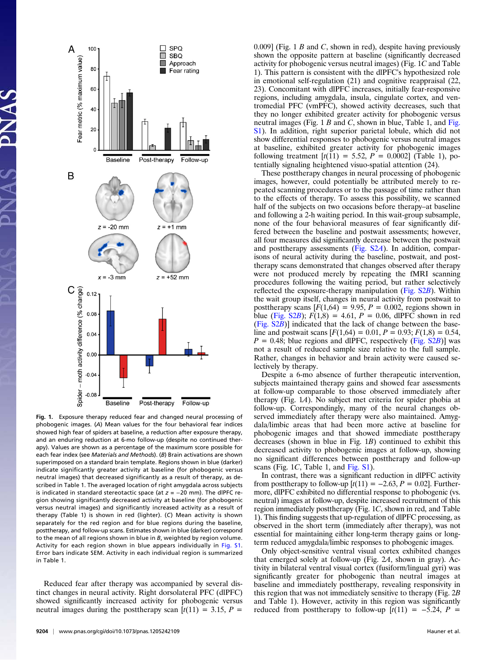

Fig. 1. Exposure therapy reduced fear and changed neural processing of phobogenic images. (A) Mean values for the four behavioral fear indices showed high fear of spiders at baseline, a reduction after exposure therapy, and an enduring reduction at 6-mo follow-up (despite no continued therapy). Values are shown as a percentage of the maximum score possible for each fear index (see Materials and Methods). (B) Brain activations are shown superimposed on a standard brain template. Regions shown in blue (darker) indicate significantly greater activity at baseline (for phobogenic versus neutral images) that decreased significantly as a result of therapy, as described in Table 1. The averaged location of right amygdala across subjects is indicated in standard stereotactic space (at  $z = -20$  mm). The dlPFC region showing significantly decreased activity at baseline (for phobogenic versus neutral images) and significantly increased activity as a result of therapy (Table 1) is shown in red (lighter). (C) Mean activity is shown separately for the red region and for blue regions during the baseline, posttherapy, and follow-up scans. Estimates shown in blue (darker) correspond to the mean of all regions shown in blue in B, weighted by region volume. Activity for each region shown in blue appears individually in [Fig. S1](http://www.pnas.org/lookup/suppl/doi:10.1073/pnas.1205242109/-/DCSupplemental/pnas.201205242SI.pdf?targetid&tnqh_x3D;nameddest&tnqh_x3D;SF1). Error bars indicate SEM. Activity in each individual region is summarized in Table 1.

Reduced fear after therapy was accompanied by several distinct changes in neural activity. Right dorsolateral PFC (dlPFC) showed significantly increased activity for phobogenic versus neutral images during the posttherapy scan  $[t(11) = 3.15, P =$ 

 $0.009$ ] (Fig. 1 B and C, shown in red), despite having previously shown the opposite pattern at baseline (significantly decreased activity for phobogenic versus neutral images) (Fig. 1C and Table 1). This pattern is consistent with the dlPFC's hypothesized role in emotional self-regulation (21) and cognitive reappraisal (22, 23). Concomitant with dlPFC increases, initially fear-responsive regions, including amygdala, insula, cingulate cortex, and ventromedial PFC (vmPFC), showed activity decreases, such that they no longer exhibited greater activity for phobogenic versus neutral images ([Fig.](http://www.pnas.org/lookup/suppl/doi:10.1073/pnas.1205242109/-/DCSupplemental/pnas.201205242SI.pdf?targetid&tnqh_x3D;nameddest&tnqh_x3D;SF1)  $1 B$  and C, shown in blue, Table 1, and Fig. [S1\)](http://www.pnas.org/lookup/suppl/doi:10.1073/pnas.1205242109/-/DCSupplemental/pnas.201205242SI.pdf?targetid&tnqh_x3D;nameddest&tnqh_x3D;SF1). In addition, right superior parietal lobule, which did not show differential responses to phobogenic versus neutral images at baseline, exhibited greater activity for phobogenic images following treatment  $[t(11) = 5.52, P = 0.0002]$  (Table 1), potentially signaling heightened visuo-spatial attention (24).

These posttherapy changes in neural processing of phobogenic images, however, could potentially be attributed merely to repeated scanning procedures or to the passage of time rather than to the effects of therapy. To assess this possibility, we scanned half of the subjects on two occasions before therapy–at baseline and following a 2-h waiting period. In this wait-group subsample, none of the four behavioral measures of fear significantly differed between the baseline and postwait assessments; however, all four measures did significantly decrease between the postwait and posttherapy assessments ([Fig. S2](http://www.pnas.org/lookup/suppl/doi:10.1073/pnas.1205242109/-/DCSupplemental/pnas.201205242SI.pdf?targetid&tnqh_x3D;nameddest&tnqh_x3D;SF2)A). In addition, comparisons of neural activity during the baseline, postwait, and posttherapy scans demonstrated that changes observed after therapy were not produced merely by repeating the fMRI scanning procedures following the waiting period, but rather selectively reflected the exposure-therapy manipulation ([Fig. S2](http://www.pnas.org/lookup/suppl/doi:10.1073/pnas.1205242109/-/DCSupplemental/pnas.201205242SI.pdf?targetid&tnqh_x3D;nameddest&tnqh_x3D;SF2)B). Within the wait group itself, changes in neural activity from postwait to posttherapy scans  $[F(1,64) = 9.95, P = 0.002,$  regions shown in blue ([Fig. S2](http://www.pnas.org/lookup/suppl/doi:10.1073/pnas.1205242109/-/DCSupplemental/pnas.201205242SI.pdf?targetid&tnqh_x3D;nameddest&tnqh_x3D;SF2)B);  $F(1,8) = 4.61$ ,  $P = 0.06$ , dlPFC shown in red ([Fig. S2](http://www.pnas.org/lookup/suppl/doi:10.1073/pnas.1205242109/-/DCSupplemental/pnas.201205242SI.pdf?targetid&tnqh_x3D;nameddest&tnqh_x3D;SF2)B)] indicated that the lack of change between the baseline and postwait scans  $[F(1,64) = 0.01, P = 0.93; F(1,8) = 0.54,$  $P = 0.48$ ; blue regions and dlPFC, respectively [\(Fig. S2](http://www.pnas.org/lookup/suppl/doi:10.1073/pnas.1205242109/-/DCSupplemental/pnas.201205242SI.pdf?targetid&tnqh_x3D;nameddest&tnqh_x3D;SF2)B)] was not a result of reduced sample size relative to the full sample. Rather, changes in behavior and brain activity were caused selectively by therapy.

Despite a 6-mo absence of further therapeutic intervention, subjects maintained therapy gains and showed fear assessments at follow-up comparable to those observed immediately after therapy (Fig. 1A). No subject met criteria for spider phobia at follow-up. Correspondingly, many of the neural changes observed immediately after therapy were also maintained. Amygdala/limbic areas that had been more active at baseline for phobogenic images and that showed immediate posttherapy decreases (shown in blue in Fig. 1B) continued to exhibit this decreased activity to phobogenic images at follow-up, showing no significant differences between posttherapy and follow-up scans (Fig. 1C, Table 1, and [Fig. S1](http://www.pnas.org/lookup/suppl/doi:10.1073/pnas.1205242109/-/DCSupplemental/pnas.201205242SI.pdf?targetid&tnqh_x3D;nameddest&tnqh_x3D;SF1)).

In contrast, there was a significant reduction in dlPFC activity from posttherapy to follow-up  $[t(11) = -2.63, P = 0.02]$ . Furthermore, dlPFC exhibited no differential response to phobogenic (vs. neutral) images at follow-up, despite increased recruitment of this region immediately posttherapy (Fig. 1C, shown in red, and Table 1). This finding suggests that up-regulation of dlPFC processing, as observed in the short term (immediately after therapy), was not essential for maintaining either long-term therapy gains or longterm reduced amygdala/limbic responses to phobogenic images.

Only object-sensitive ventral visual cortex exhibited changes that emerged solely at follow-up (Fig. 2A, shown in gray). Activity in bilateral ventral visual cortex (fusiform/lingual gyri) was significantly greater for phobogenic than neutral images at baseline and immediately posttherapy, revealing responsivity in this region that was not immediately sensitive to therapy (Fig. 2B and Table 1). However, activity in this region was significantly reduced from posttherapy to follow-up  $[t(11) = -5.24, P =$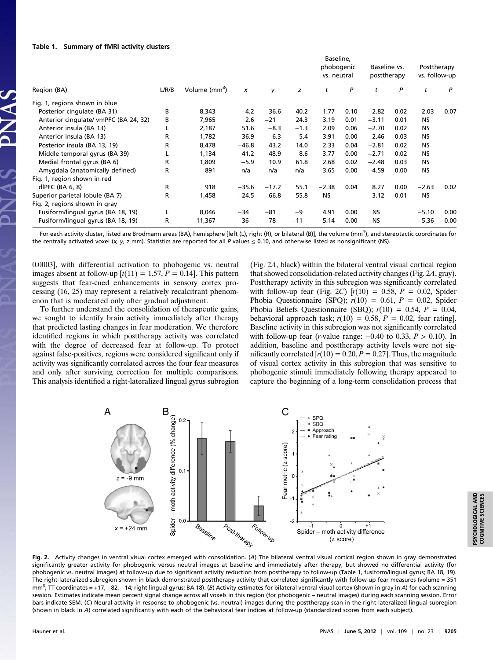#### Table 1. Summary of fMRI activity clusters

| Region (BA)                           | L/R/B | Volume (mm <sup>3</sup> ) | $\boldsymbol{x}$ | у       | z      | Baseline,<br>phobogenic<br>vs. neutral |      | Baseline vs.<br>posttherapy |      | Posttherapy<br>vs. follow-up |      |
|---------------------------------------|-------|---------------------------|------------------|---------|--------|----------------------------------------|------|-----------------------------|------|------------------------------|------|
|                                       |       |                           |                  |         |        | t                                      | P    | t                           | P    | t                            | P    |
| Fig. 1, regions shown in blue         |       |                           |                  |         |        |                                        |      |                             |      |                              |      |
| Posterior cingulate (BA 31)           | в     | 8,343                     | $-4.2$           | 36.6    | 40.2   | 1.77                                   | 0.10 | $-2.82$                     | 0.02 | 2.03                         | 0.07 |
| Anterior cingulate/ vmPFC (BA 24, 32) | в     | 7,965                     | 2.6              | $-21$   | 24.3   | 3.19                                   | 0.01 | $-3.11$                     | 0.01 | <b>NS</b>                    |      |
| Anterior insula (BA 13)               |       | 2,187                     | 51.6             | $-8.3$  | $-1.3$ | 2.09                                   | 0.06 | $-2.70$                     | 0.02 | NS.                          |      |
| Anterior insula (BA 13)               | R     | 1,782                     | $-36.9$          | $-6.3$  | 5.4    | 3.91                                   | 0.00 | $-2.46$                     | 0.03 | <b>NS</b>                    |      |
| Posterior insula (BA 13, 19)          | R     | 8,478                     | $-46.8$          | 43.2    | 14.0   | 2.33                                   | 0.04 | $-2.81$                     | 0.02 | <b>NS</b>                    |      |
| Middle temporal gyrus (BA 39)         |       | 1,134                     | 41.2             | 48.9    | 8.6    | 3.77                                   | 0.00 | $-2.71$                     | 0.02 | NS.                          |      |
| Medial frontal gyrus (BA 6)           | R     | 1,809                     | $-5.9$           | 10.9    | 61.8   | 2.68                                   | 0.02 | $-2.48$                     | 0.03 | <b>NS</b>                    |      |
| Amygdala (anatomically defined)       | R     | 891                       | n/a              | n/a     | n/a    | 3.65                                   | 0.00 | $-4.59$                     | 0.00 | <b>NS</b>                    |      |
| Fig. 1, region shown in red           |       |                           |                  |         |        |                                        |      |                             |      |                              |      |
| dlPFC $(BA 6, 8)$                     | R     | 918                       | $-35.6$          | $-17.2$ | 55.1   | $-2.38$                                | 0.04 | 8.27                        | 0.00 | $-2.63$                      | 0.02 |
| Superior parietal lobule (BA 7)       | R     | 1,458                     | $-24.5$          | 66.8    | 55.8   | <b>NS</b>                              |      | 3.12                        | 0.01 | NS.                          |      |
| Fig. 2, regions shown in gray         |       |                           |                  |         |        |                                        |      |                             |      |                              |      |
| Fusiform/lingual gyrus (BA 18, 19)    |       | 8,046                     | $-34$            | $-81$   | -9     | 4.91                                   | 0.00 | <b>NS</b>                   |      | $-5.10$                      | 0.00 |
| Fusiform/lingual gyrus (BA 18, 19)    | R     | 11,367                    | 36               | $-78$   | $-11$  | 5.14                                   | 0.00 | <b>NS</b>                   |      | $-5.36$                      | 0.00 |

For each activity cluster, listed are Brodmann areas (BA), hemisphere [left (L), right (R), or bilateral (B)], the volume (mm<sup>3</sup>), and stereotactic coordinates for the centrally activated voxel (x, y, z mm). Statistics are reported for all P values  $\leq$  0.10, and otherwise listed as nonsignificant (NS).

0.0003], with differential activation to phobogenic vs. neutral images absent at follow-up  $[t(11) = 1.57, P = 0.14]$ . This pattern suggests that fear-cued enhancements in sensory cortex processing (16, 25) may represent a relatively recalcitrant phenomenon that is moderated only after gradual adjustment.

To further understand the consolidation of therapeutic gains, we sought to identify brain activity immediately after therapy that predicted lasting changes in fear moderation. We therefore identified regions in which posttherapy activity was correlated with the degree of decreased fear at follow-up. To protect against false-positives, regions were considered significant only if activity was significantly correlated across the four fear measures and only after surviving correction for multiple comparisons. This analysis identified a right-lateralized lingual gyrus subregion (Fig. 2A, black) within the bilateral ventral visual cortical region that showed consolidation-related activity changes (Fig. 2A, gray). Posttherapy activity in this subregion was significantly correlated with follow-up fear (Fig. 2C)  $[r(10) = 0.58, P = 0.02,$  Spider Phobia Questionnaire (SPQ);  $r(10) = 0.61$ ,  $P = 0.02$ , Spider Phobia Beliefs Questionnaire (SBQ);  $r(10) = 0.54$ ,  $P = 0.04$ , behavioral approach task;  $r(10) = 0.58$ ,  $P = 0.02$ , fear rating. Baseline activity in this subregion was not significantly correlated with follow-up fear (r-value range:  $-0.40$  to 0.33,  $P > 0.10$ ). In addition, baseline and posttherapy activity levels were not significantly correlated  $[r(10) = 0.20, P = 0.27]$ . Thus, the magnitude of visual cortex activity in this subregion that was sensitive to phobogenic stimuli immediately following therapy appeared to capture the beginning of a long-term consolidation process that



Fig. 2. Activity changes in ventral visual cortex emerged with consolidation. (A) The bilateral ventral visual cortical region shown in gray demonstrated significantly greater activity for phobogenic versus neutral images at baseline and immediately after therapy, but showed no differential activity (for phobogenic vs. neutral images) at follow-up due to significant activity reduction from posttherapy to follow-up (Table 1, fusiform/lingual gyrus; BA 18, 19). The right-lateralized subregion shown in black demonstrated posttherapy activity that correlated significantly with follow-up fear measures (volume = 351 mm<sup>3</sup>; TT coordinates = +17, −82, −14; right lingual gyrus; BA 18). (*B*) Activity estimates for bilateral ventral visual cortex (shown in gray in A) for each scanning session. Estimates indicate mean percent signal change across all voxels in this region (for phobogenic – neutral images) during each scanning session. Error bars indicate SEM. (C) Neural activity in response to phobogenic (vs. neutral) images during the posttherapy scan in the right-lateralized lingual subregion (shown in black in A) correlated significantly with each of the behavioral fear indices at follow-up (standardized scores from each subject).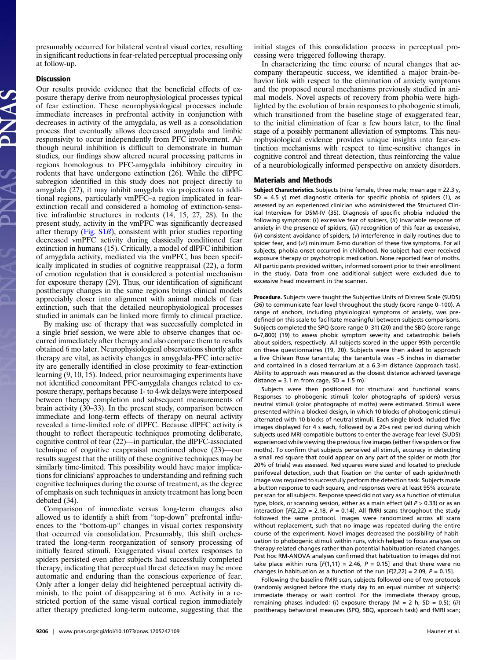presumably occurred for bilateral ventral visual cortex, resulting in significant reductions in fear-related perceptual processing only at follow-up.

### Discussion

Our results provide evidence that the beneficial effects of exposure therapy derive from neurophysiological processes typical of fear extinction. These neurophysiological processes include immediate increases in prefrontal activity in conjunction with decreases in activity of the amygdala, as well as a consolidation process that eventually allows decreased amygdala and limbic responsivity to occur independently from PFC involvement. Although neural inhibition is difficult to demonstrate in human studies, our findings show altered neural processing patterns in regions homologous to PFC-amygdala inhibitory circuitry in rodents that have undergone extinction (26). While the dlPFC subregion identified in this study does not project directly to amygdala (27), it may inhibit amygdala via projections to additional regions, particularly vmPFC–a region implicated in fearextinction recall and considered a homolog of extinction-sensitive infralimbic structures in rodents (14, 15, 27, 28). In the present study, activity in the vmPFC was significantly decreased after therapy [\(Fig. S1](http://www.pnas.org/lookup/suppl/doi:10.1073/pnas.1205242109/-/DCSupplemental/pnas.201205242SI.pdf?targetid&tnqh_x3D;nameddest&tnqh_x3D;SF1)B), consistent with prior studies reporting decreased vmPFC activity during classically conditioned fear extinction in humans (15). Critically, a model of dlPFC inhibition of amygdala activity, mediated via the vmPFC, has been specifically implicated in studies of cognitive reappraisal (22), a form of emotion regulation that is considered a potential mechanism for exposure therapy (29). Thus, our identification of significant posttherapy changes in the same regions brings clinical models appreciably closer into alignment with animal models of fear extinction, such that the detailed neurophysiological processes studied in animals can be linked more firmly to clinical practice.

By making use of therapy that was successfully completed in a single brief session, we were able to observe changes that occurred immediately after therapy and also compare them to results obtained 6 mo later. Neurophysiological observations shortly after therapy are vital, as activity changes in amygdala-PFC interactivity are generally identified in close proximity to fear-extinction learning (9, 10, 15). Indeed, prior neuroimaging experiments have not identified concomitant PFC-amygdala changes related to exposure therapy, perhaps because 1- to 4-wk delays were interposed between therapy completion and subsequent measurements of brain activity (30–33). In the present study, comparison between immediate and long-term effects of therapy on neural activity revealed a time-limited role of dlPFC. Because dlPFC activity is thought to reflect therapeutic techniques promoting deliberate, cognitive control of fear (22)—in particular, the dlPFC-associated technique of cognitive reappraisal mentioned above (23)—our results suggest that the utility of these cognitive techniques may be similarly time-limited. This possibility would have major implications for clinicians' approaches to understanding and refining such cognitive techniques during the course of treatment, as the degree of emphasis on such techniques in anxiety treatment has long been debated (34).

Comparison of immediate versus long-term changes also allowed us to identify a shift from "top-down" prefrontal influences to the "bottom-up" changes in visual cortex responsivity that occurred via consolidation. Presumably, this shift orchestrated the long-term reorganization of sensory processing of initially feared stimuli. Exaggerated visual cortex responses to spiders persisted even after subjects had successfully completed therapy, indicating that perceptual threat detection may be more automatic and enduring than the conscious experience of fear. Only after a longer delay did heightened perceptual activity diminish, to the point of disappearing at 6 mo. Activity in a restricted portion of the same visual cortical region immediately after therapy predicted long-term outcome, suggesting that the initial stages of this consolidation process in perceptual processing were triggered following therapy.

In characterizing the time course of neural changes that accompany therapeutic success, we identified a major brain-behavior link with respect to the elimination of anxiety symptoms and the proposed neural mechanisms previously studied in animal models. Novel aspects of recovery from phobia were highlighted by the evolution of brain responses to phobogenic stimuli, which transitioned from the baseline stage of exaggerated fear, to the initial elimination of fear a few hours later, to the final stage of a possibly permanent alleviation of symptoms. This neurophysiological evidence provides unique insights into fear-extinction mechanisms with respect to time-sensitive changes in cognitive control and threat detection, thus reinforcing the value of a neurobiologically informed perspective on anxiety disorders.

## Materials and Methods

Subject Characteristics. Subjects (nine female, three male; mean age = 22.3 y,  $SD = 4.5$  y) met diagnostic criteria for specific phobia of spiders (1), as assessed by an experienced clinician who administered the Structured Clinical Interview for DSM-IV (35). Diagnosis of specific phobia included the following symptoms: (i) excessive fear of spiders, (ii) invariable response of anxiety in the presence of spiders, (iii) recognition of this fear as excessive, (iv) consistent avoidance of spiders, (v) interference in daily routines due to spider fear, and (vi) minimum 6-mo duration of these five symptoms. For all subjects, phobia onset occurred in childhood. No subject had ever received exposure therapy or psychotropic medication. None reported fear of moths. All participants provided written, informed consent prior to their enrollment in the study. Data from one additional subject were excluded due to excessive head movement in the scanner.

Procedure. Subjects were taught the Subjective Units of Distress Scale (SUDS) (36) to communicate fear level throughout the study (score range 0–100). A range of anchors, including physiological symptoms of anxiety, was predefined on this scale to facilitate meaningful between-subjects comparisons. Subjects completed the SPQ (score range 0–31) (20) and the SBQ (score range 0–7,800) (19) to assess phobic symptom severity and catastrophic beliefs about spiders, respectively. All subjects scored in the upper 95th percentile on these questionnaires (19, 20). Subjects were then asked to approach a live Chilean Rose tarantula; the tarantula was ∼5 inches in diameter and contained in a closed terrarium at a 6.3-m distance (approach task). Ability to approach was measured as the closest distance achieved (average distance =  $3.1$  m from cage,  $SD = 1.5$  m).

Subjects were then positioned for structural and functional scans. Responses to phobogenic stimuli (color photographs of spiders) versus neutral stimuli (color photographs of moths) were estimated. Stimuli were presented within a blocked design, in which 10 blocks of phobogenic stimuli alternated with 10 blocks of neutral stimuli. Each single block included five images displayed for 4 s each, followed by a 20-s rest period during which subjects used MRI-compatible buttons to enter the average fear level (SUDS) experienced while viewing the previous five images (either five spiders or five moths). To confirm that subjects perceived all stimuli, accuracy in detecting a small red square that could appear on any part of the spider or moth (for 20% of trials) was assessed. Red squares were sized and located to preclude perifoveal detection, such that fixation on the center of each spider/moth image was required to successfully perform the detection task. Subjects made a button response to each square, and responses were at least 95% accurate per scan for all subjects. Response speed did not vary as a function of stimulus type, block, or scanning session, either as a main effect (all  $P > 0.33$ ) or as an interaction  $[F(2,22) = 2.18, P = 0.14]$ . All fMRI scans throughout the study followed the same protocol. Images were randomized across all scans without replacement, such that no image was repeated during the entire course of the experiment. Novel images decreased the possibility of habituation to phobogenic stimuli within runs, which helped to focus analyses on therapy-related changes rather than potential habituation-related changes. Post hoc RM-ANOVA analyses confirmed that habituation to images did not take place within runs  $[F(1,11) = 2.46, P = 0.15]$  and that there were no changes in habituation as a function of the run  $[F(2,22) = 2.09, P = 0.15]$ .

Following the baseline fMRI scan, subjects followed one of two protocols (randomly assigned before the study day to an equal number of subjects): immediate therapy or wait control. For the immediate therapy group, remaining phases included: (i) exposure therapy (M = 2 h, SD = 0.5); (ii) posttherapy behavioral measures (SPQ, SBQ, approach task) and fMRI scan;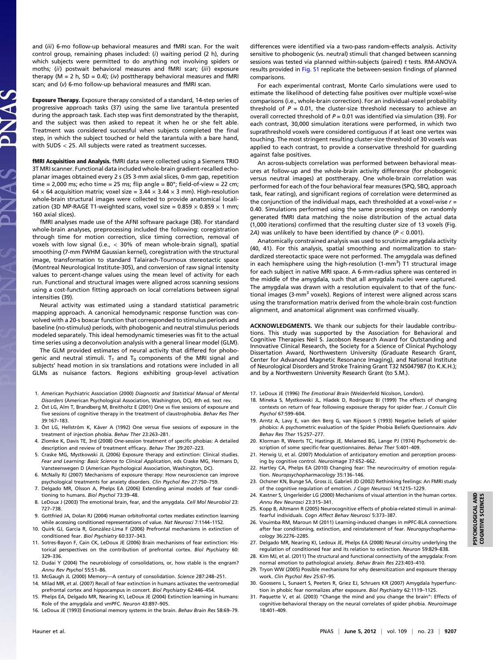and (iii) 6-mo follow-up behavioral measures and fMRI scan. For the wait control group, remaining phases included: (i) waiting period (2 h), during which subjects were permitted to do anything not involving spiders or moths; (ii) postwait behavioral measures and fMRI scan; (iii) exposure therapy (M = 2 h, SD = 0.4); (iv) posttherapy behavioral measures and fMRI scan; and (v) 6-mo follow-up behavioral measures and fMRI scan.

Exposure Therapy. Exposure therapy consisted of a standard, 14-step series of progressive approach tasks (37) using the same live tarantula presented during the approach task. Each step was first demonstrated by the therapist, and the subject was then asked to repeat it when he or she felt able. Treatment was considered successful when subjects completed the final step, in which the subject touched or held the tarantula with a bare hand, with SUDS < 25. All subjects were rated as treatment successes.

fMRI Acquisition and Analysis. fMRI data were collected using a Siemens TRIO 3T MRI scanner. Functional data included whole-brain gradient-recalled echoplanar images obtained every 2 s (35 3-mm axial slices, 0-mm gap, repetition time = 2,000 ms; echo time = 25 ms; flip angle =  $80^\circ$ ; field-of-view = 22 cm; 64  $\times$  64 acquisition matrix; voxel size = 3.44  $\times$  3.44  $\times$  3 mm). High-resolution whole-brain structural images were collected to provide anatomical localization (3D MP-RAGE T1-weighted scans, voxel size =  $0.859 \times 0.859 \times 1$  mm; 160 axial slices).

fMRI analyses made use of the AFNI software package (38). For standard whole-brain analyses, preprocessing included the following: coregistration through time for motion correction, slice timing correction, removal of voxels with low signal (i.e., < 30% of mean whole-brain signal), spatial smoothing (7-mm FWHM Gaussian kernel), coregistration with the structural image, transformation to standard Talairach-Tournoux stereotactic space (Montreal Neurological Institute-305), and conversion of raw signal intensity values to percent-change values using the mean level of activity for each run. Functional and structural images were aligned across scanning sessions using a cost-function fitting approach on local correlations between signal intensities (39).

Neural activity was estimated using a standard statistical parametric mapping approach. A canonical hemodynamic response function was convolved with a 20-s boxcar function that corresponded to stimulus periods and baseline (no-stimulus) periods, with phobogenic and neutral stimulus periods modeled separately. This ideal hemodynamic timeseries was fit to the actual time series using a deconvolution analysis with a general linear model (GLM).

The GLM provided estimates of neural activity that differed for phobogenic and neutral stimuli.  $T_1$  and  $T_0$  components of the MRI signal and subjects' head motion in six translations and rotations were included in all GLMs as nuisance factors. Regions exhibiting group-level activation

- 1. American Psychiatric Association (2000) Diagnostic and Statistical Manual of Mental Disorders (American Psychological Association, Washington, DC), 4th ed. text rev.
- 2. Öst LG, Alm T, Brandberg M, Breitholtz E (2001) One vs five sessions of exposure and five sessions of cognitive therapy in the treatment of claustrophobia. Behav Res Ther 39:167–183.
- 3. Öst LG, Hellström K, Kåver A (1992) One versus five sessions of exposure in the treatment of injection phobia. Behav Ther 23:263–281.
- 4. Zlomke K, Davis TE, 3rd (2008) One-session treatment of specific phobias: A detailed description and review of treatment efficacy. Behav Ther 39:207–223.
- 5. Craske MG, Mystkowski JL (2006) Exposure therapy and extinction: Clinical studies. Fear and Learning: Basic Science to Clinical Application, eds Craske MG, Hermans D, Vansteenwegen D (American Psychological Association, Washington, DC).
- 6. McNally RJ (2007) Mechanisms of exposure therapy: How neuroscience can improve psychological treatments for anxiety disorders. Clin Psychol Rev 27:750–759.
- 7. Delgado MR, Olsson A, Phelps EA (2006) Extending animal models of fear conditioning to humans. Biol Psychol 73:39–48.
- 8. LeDoux J (2003) The emotional brain, fear, and the amygdala. Cell Mol Neurobiol 23: 727–738.
- 9. Gottfried JA, Dolan RJ (2004) Human orbitofrontal cortex mediates extinction learning while accessing conditioned representations of value. Nat Neurosci 7:1144-1152.
- 10. Quirk GJ, Garcia R, González-Lima F (2006) Prefrontal mechanisms in extinction of conditioned fear. Biol Psychiatry 60:337–343.
- 11. Sotres-Bayon F, Cain CK, LeDoux JE (2006) Brain mechanisms of fear extinction: Historical perspectives on the contribution of prefrontal cortex. Biol Psychiatry 60: 329–336.
- 12. Dudai Y (2004) The neurobiology of consolidations, or, how stable is the engram? Annu Rev Psychol 55:51–86.
- 13. McGaugh JL (2000) Memory—A century of consolidation. Science 287:248–251. 14. Milad MR, et al. (2007) Recall of fear extinction in humans activates the ventromedial
- prefrontal cortex and hippocampus in concert. Biol Psychiatry 62:446-454. 15. Phelps EA, Delgado MR, Nearing KI, LeDoux JE (2004) Extinction learning in humans: Role of the amygdala and vmPFC. Neuron 43:897–905.
- 16. LeDoux JE (1993) Emotional memory systems in the brain. Behav Brain Res 58:69–79.

differences were identified via a two-pass random-effects analysis. Activity sensitive to phobogenic (vs. neutral) stimuli that changed between scanning sessions was tested via planned within-subjects (paired) t tests. RM-ANOVA results provided in [Fig. S1](http://www.pnas.org/lookup/suppl/doi:10.1073/pnas.1205242109/-/DCSupplemental/pnas.201205242SI.pdf?targetid&tnqh_x3D;nameddest&tnqh_x3D;SF1) replicate the between-session findings of planned comparisons.

For each experimental contrast, Monte Carlo simulations were used to estimate the likelihood of detecting false positives over multiple voxel-wise comparisons (i.e., whole-brain correction). For an individual-voxel probability threshold of  $P = 0.01$ , the cluster-size threshold necessary to achieve an overall corrected threshold of  $P = 0.01$  was identified via simulation (39). For each contrast, 30,000 simulation iterations were performed, in which two suprathreshold voxels were considered contiguous if at least one vertex was touching. The most stringent resulting cluster-size threshold of 30 voxels was applied to each contrast, to provide a conservative threshold for guarding against false positives.

An across-subjects correlation was performed between behavioral measures at follow-up and the whole-brain activity difference (for phobogenic versus neutral images) at posttherapy. One whole-brain correlation was performed for each of the four behavioral fear measures (SPQ, SBQ, approach task, fear rating), and significant regions of correlation were determined as the conjunction of the individual maps, each thresholded at a voxel-wise  $r =$ 0.40. Simulations performed using the same processing steps on randomly generated fMRI data matching the noise distribution of the actual data (1,000 iterations) confirmed that the resulting cluster size of 13 voxels (Fig. 2A) was unlikely to have been identified by chance ( $P < 0.001$ ).

Anatomically constrained analysis was used to scrutinize amygdala activity (40, 41). For this analysis, spatial smoothing and normalization to standardized stereotactic space were not performed. The amygdala was defined in each hemisphere using the high-resolution (1-mm<sup>3</sup>) T1 structural image for each subject in native MRI space. A 6-mm-radius sphere was centered in the middle of the amygdala, such that all amygdala nuclei were captured. The amygdala was drawn with a resolution equivalent to that of the functional images (3-mm<sup>3</sup> voxels). Regions of interest were aligned across scans using the transformation matrix derived from the whole-brain cost-function alignment, and anatomical alignment was confirmed visually.

ACKNOWLEDGMENTS. We thank our subjects for their laudable contributions. This study was supported by the Association for Behavioral and Cognitive Therapies Neil S. Jacobson Research Award for Outstanding and Innovative Clinical Research, the Society for a Science of Clinical Psychology Dissertation Award, Northwestern University (Graduate Research Grant, Center for Advanced Magnetic Resonance Imaging), and National Institute of Neurological Disorders and Stroke Training Grant T32 NS047987 (to K.K.H.); and by a Northwestern University Research Grant (to S.M.).

- 17. LeDoux JE (1996) The Emotional Brain (Weidenfeld Nicolson, London).
- 18. Mineka S, Mystkowski JL, Hladek D, Rodriguez BI (1999) The effects of changing contexts on return of fear following exposure therapy for spider fear. J Consult Clin Psychol 67:599–604.
- 19. Arntz A, Lavy E, van den Berg G, van Rijsoort S (1993) Negative beliefs of spider phobics: A psychometric evaluation of the Spider Phobia Beliefs Questionnaire. Adv Behav Res Ther 15:257–277.
- 20. Klorman R, Weerts TC, Hastings JE, Melamed BG, Lange PJ (1974) Psychometric description of some specific-fear questionnaires. Behav Ther 5:401–409.
- 21. Herwig U, et al. (2007) Modulation of anticipatory emotion and perception processing by cognitive control. Neuroimage 37:652–662.
- 22. Hartley CA, Phelps EA (2010) Changing fear: The neurocircuitry of emotion regulation. Neuropsychopharmacology 35:136–146.
- 23. Ochsner KN, Bunge SA, Gross JJ, Gabrieli JD (2002) Rethinking feelings: An FMRI study of the cognitive regulation of emotion. J Cogn Neurosci 14:1215–1229.
- 24. Kastner S, Ungerleider LG (2000) Mechanisms of visual attention in the human cortex. Annu Rev Neurosci 23:315–341.
- 25. Kopp B, Altmann R (2005) Neurocognitive effects of phobia-related stimuli in animalfearful individuals. Cogn Affect Behav Neurosci 5:373–387.
- 26. Vouimba RM, Maroun M (2011) Learning-induced changes in mPFC-BLA connections after fear conditioning, extinction, and reinstatement of fear. Neuropsychopharmacology 36:2276–2285.
- 27. Delgado MR, Nearing KI, Ledoux JE, Phelps EA (2008) Neural circuitry underlying the regulation of conditioned fear and its relation to extinction. Neuron 59:829–838.
- 28. Kim MJ, et al. (2011) The structural and functional connectivity of the amygdala: From normal emotion to pathological anxiety. Behav Brain Res 223:403–410.
- 29. Tryon WW (2005) Possible mechanisms for why desensitization and exposure therapy work. Clin Psychol Rev 25:67–95.
- 30. Goossens L, Sunaert S, Peeters R, Griez EJ, Schruers KR (2007) Amygdala hyperfunction in phobic fear normalizes after exposure. Biol Psychiatry 62:1119-1125.
- 31. Paquette V, et al. (2003) "Change the mind and you change the brain": Effects of cognitive-behavioral therapy on the neural correlates of spider phobia. Neuroimage 18:401–409.